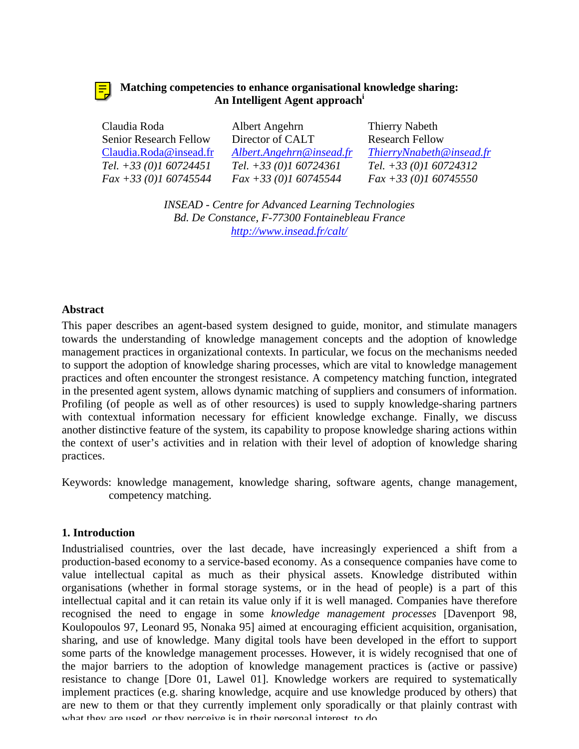# **Matching competencies to enhance organisational knowledge sharing: An Intelligent Agent approach<sup>i</sup>**

| Claudia Roda                  | Albert Angehrn           | Thierry Nabeth           |
|-------------------------------|--------------------------|--------------------------|
| <b>Senior Research Fellow</b> | Director of CALT         | <b>Research Fellow</b>   |
| Claudia.Roda@insead.fr        | Albert.Angehrn@insead.fr | ThierryNnabeth@insead.fr |
| Tel. $+33(0)160724451$        | Tel. $+33(0)160724361$   | Tel. $+33(0)160724312$   |
| $Fax + 33(0)160745544$        | $Fax + 33(0)160745544$   | $Fax + 33(0)160745550$   |

*INSEAD - Centre for Advanced Learning Technologies Bd. De Constance, F-77300 Fontainebleau France http://www.insead.fr/calt/*

# **Abstract**

This paper describes an agent-based system designed to guide, monitor, and stimulate managers towards the understanding of knowledge management concepts and the adoption of knowledge management practices in organizational contexts. In particular, we focus on the mechanisms needed to support the adoption of knowledge sharing processes, which are vital to knowledge management practices and often encounter the strongest resistance. A competency matching function, integrated in the presented agent system, allows dynamic matching of suppliers and consumers of information. Profiling (of people as well as of other resources) is used to supply knowledge-sharing partners with contextual information necessary for efficient knowledge exchange. Finally, we discuss another distinctive feature of the system, its capability to propose knowledge sharing actions within the context of user's activities and in relation with their level of adoption of knowledge sharing practices.

Keywords: knowledge management, knowledge sharing, software agents, change management, competency matching.

### **1. Introduction**

Industrialised countries, over the last decade, have increasingly experienced a shift from a production-based economy to a service-based economy. As a consequence companies have come to value intellectual capital as much as their physical assets. Knowledge distributed within organisations (whether in formal storage systems, or in the head of people) is a part of this intellectual capital and it can retain its value only if it is well managed. Companies have therefore recognised the need to engage in some *knowledge management processes* [Davenport 98, Koulopoulos 97, Leonard 95, Nonaka 95] aimed at encouraging efficient acquisition, organisation, sharing, and use of knowledge. Many digital tools have been developed in the effort to support some parts of the knowledge management processes. However, it is widely recognised that one of the major barriers to the adoption of knowledge management practices is (active or passive) resistance to change [Dore 01, Lawel 01]. Knowledge workers are required to systematically implement practices (e.g. sharing knowledge, acquire and use knowledge produced by others) that are new to them or that they currently implement only sporadically or that plainly contrast with what they are used, or they perceive is in their personal interest, to do.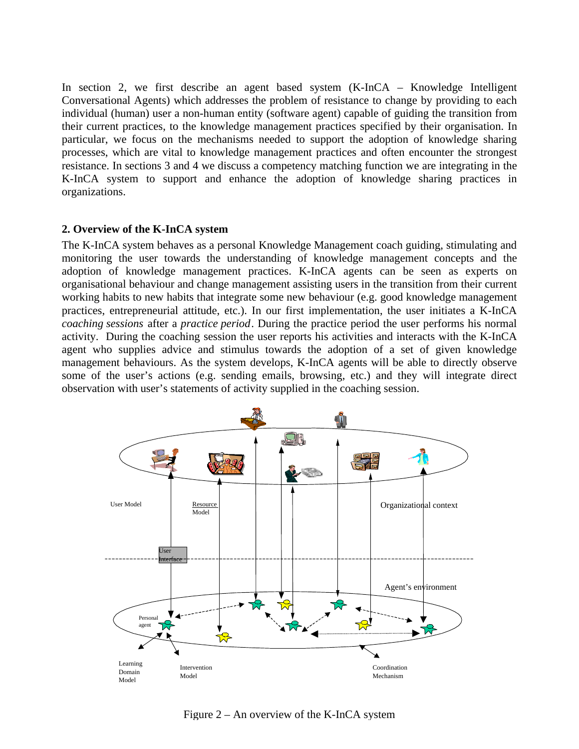In section 2, we first describe an agent based system (K-InCA – Knowledge Intelligent Conversational Agents) which addresses the problem of resistance to change by providing to each individual (human) user a non-human entity (software agent) capable of guiding the transition from their current practices, to the knowledge management practices specified by their organisation. In particular, we focus on the mechanisms needed to support the adoption of knowledge sharing processes, which are vital to knowledge management practices and often encounter the strongest resistance. In sections 3 and 4 we discuss a competency matching function we are integrating in the K-InCA system to support and enhance the adoption of knowledge sharing practices in organizations.

### **2. Overview of the K-InCA system**

The K-InCA system behaves as a personal Knowledge Management coach guiding, stimulating and monitoring the user towards the understanding of knowledge management concepts and the adoption of knowledge management practices. K-InCA agents can be seen as experts on organisational behaviour and change management assisting users in the transition from their current working habits to new habits that integrate some new behaviour (e.g. good knowledge management practices, entrepreneurial attitude, etc.). In our first implementation, the user initiates a K-InCA *coaching sessions* after a *practice period*. During the practice period the user performs his normal activity. During the coaching session the user reports his activities and interacts with the K-InCA agent who supplies advice and stimulus towards the adoption of a set of given knowledge management behaviours. As the system develops, K-InCA agents will be able to directly observe some of the user's actions (e.g. sending emails, browsing, etc.) and they will integrate direct observation with user's statements of activity supplied in the coaching session.



Figure 2 – An overview of the K-InCA system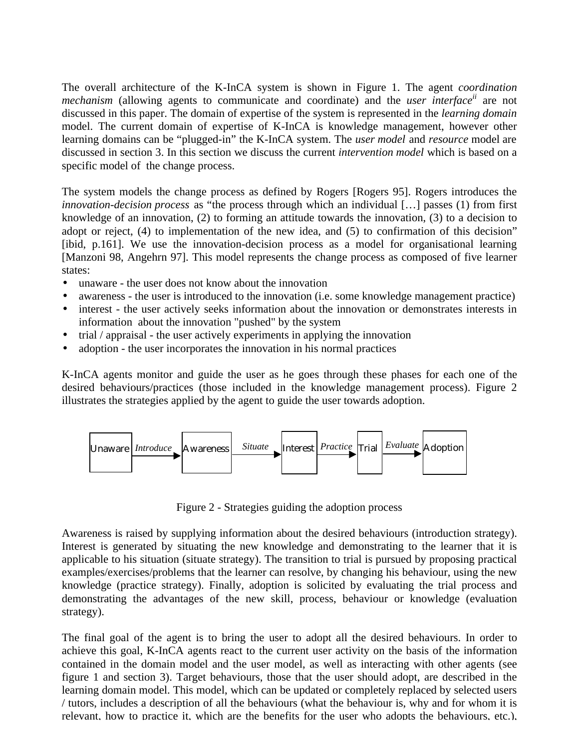The overall architecture of the K-InCA system is shown in Figure 1. The agent *coordination mechanism* (allowing agents to communicate and coordinate) and the *user interfaceii* are not discussed in this paper. The domain of expertise of the system is represented in the *learning domain* model. The current domain of expertise of K-InCA is knowledge management, however other learning domains can be "plugged-in" the K-InCA system. The *user model* and *resource* model are discussed in section 3. In this section we discuss the current *intervention model* which is based on a specific model of the change process.

The system models the change process as defined by Rogers [Rogers 95]. Rogers introduces the *innovation-decision process* as "the process through which an individual […] passes (1) from first knowledge of an innovation, (2) to forming an attitude towards the innovation, (3) to a decision to adopt or reject, (4) to implementation of the new idea, and (5) to confirmation of this decision" [ibid, p.161]. We use the innovation-decision process as a model for organisational learning [Manzoni 98, Angehrn 97]. This model represents the change process as composed of five learner states:

- unaware the user does not know about the innovation
- awareness the user is introduced to the innovation (i.e. some knowledge management practice)
- interest the user actively seeks information about the innovation or demonstrates interests in information about the innovation "pushed" by the system
- trial / appraisal the user actively experiments in applying the innovation
- adoption the user incorporates the innovation in his normal practices

K-InCA agents monitor and guide the user as he goes through these phases for each one of the desired behaviours/practices (those included in the knowledge management process). Figure 2 illustrates the strategies applied by the agent to guide the user towards adoption.



Figure 2 - Strategies guiding the adoption process

Awareness is raised by supplying information about the desired behaviours (introduction strategy). Interest is generated by situating the new knowledge and demonstrating to the learner that it is applicable to his situation (situate strategy). The transition to trial is pursued by proposing practical examples/exercises/problems that the learner can resolve, by changing his behaviour, using the new knowledge (practice strategy). Finally, adoption is solicited by evaluating the trial process and demonstrating the advantages of the new skill, process, behaviour or knowledge (evaluation strategy).

The final goal of the agent is to bring the user to adopt all the desired behaviours. In order to achieve this goal, K-InCA agents react to the current user activity on the basis of the information contained in the domain model and the user model, as well as interacting with other agents (see figure 1 and section 3). Target behaviours, those that the user should adopt, are described in the learning domain model. This model, which can be updated or completely replaced by selected users / tutors, includes a description of all the behaviours (what the behaviour is, why and for whom it is relevant, how to practice it, which are the benefits for the user who adopts the behaviours, etc.),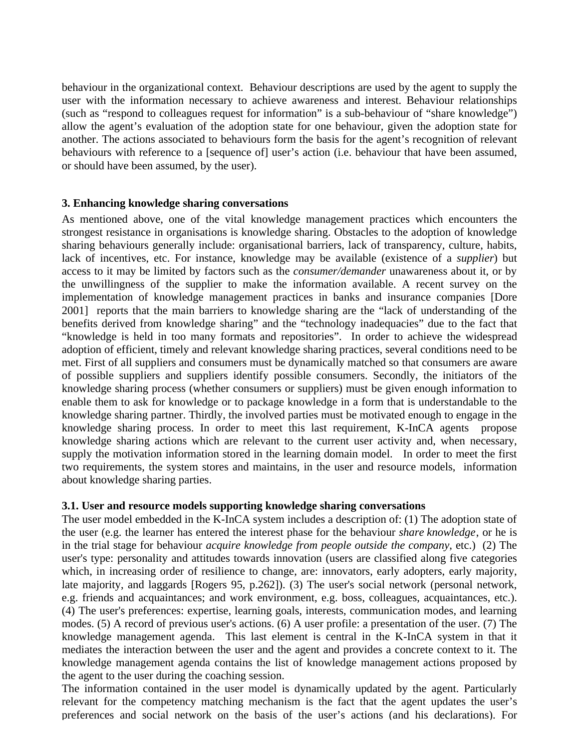behaviour in the organizational context. Behaviour descriptions are used by the agent to supply the user with the information necessary to achieve awareness and interest. Behaviour relationships (such as "respond to colleagues request for information" is a sub-behaviour of "share knowledge") allow the agent's evaluation of the adoption state for one behaviour, given the adoption state for another. The actions associated to behaviours form the basis for the agent's recognition of relevant behaviours with reference to a [sequence of] user's action (i.e. behaviour that have been assumed, or should have been assumed, by the user).

### **3. Enhancing knowledge sharing conversations**

As mentioned above, one of the vital knowledge management practices which encounters the strongest resistance in organisations is knowledge sharing. Obstacles to the adoption of knowledge sharing behaviours generally include: organisational barriers, lack of transparency, culture, habits, lack of incentives, etc. For instance, knowledge may be available (existence of a *supplier*) but access to it may be limited by factors such as the *consumer/demander* unawareness about it, or by the unwillingness of the supplier to make the information available. A recent survey on the implementation of knowledge management practices in banks and insurance companies [Dore 2001] reports that the main barriers to knowledge sharing are the "lack of understanding of the benefits derived from knowledge sharing" and the "technology inadequacies" due to the fact that "knowledge is held in too many formats and repositories". In order to achieve the widespread adoption of efficient, timely and relevant knowledge sharing practices, several conditions need to be met. First of all suppliers and consumers must be dynamically matched so that consumers are aware of possible suppliers and suppliers identify possible consumers. Secondly, the initiators of the knowledge sharing process (whether consumers or suppliers) must be given enough information to enable them to ask for knowledge or to package knowledge in a form that is understandable to the knowledge sharing partner. Thirdly, the involved parties must be motivated enough to engage in the knowledge sharing process. In order to meet this last requirement, K-InCA agents propose knowledge sharing actions which are relevant to the current user activity and, when necessary, supply the motivation information stored in the learning domain model. In order to meet the first two requirements, the system stores and maintains, in the user and resource models, information about knowledge sharing parties.

### **3.1. User and resource models supporting knowledge sharing conversations**

The user model embedded in the K-InCA system includes a description of: (1) The adoption state of the user (e.g. the learner has entered the interest phase for the behaviour *share knowledge*, or he is in the trial stage for behaviour *acquire knowledge from people outside the company*, etc.) (2) The user's type: personality and attitudes towards innovation (users are classified along five categories which, in increasing order of resilience to change, are: innovators, early adopters, early majority, late majority, and laggards [Rogers 95, p.262]). (3) The user's social network (personal network, e.g. friends and acquaintances; and work environment, e.g. boss, colleagues, acquaintances, etc.). (4) The user's preferences: expertise, learning goals, interests, communication modes, and learning modes. (5) A record of previous user's actions. (6) A user profile: a presentation of the user. (7) The knowledge management agenda. This last element is central in the K-InCA system in that it mediates the interaction between the user and the agent and provides a concrete context to it. The knowledge management agenda contains the list of knowledge management actions proposed by the agent to the user during the coaching session.

The information contained in the user model is dynamically updated by the agent. Particularly relevant for the competency matching mechanism is the fact that the agent updates the user's preferences and social network on the basis of the user's actions (and his declarations). For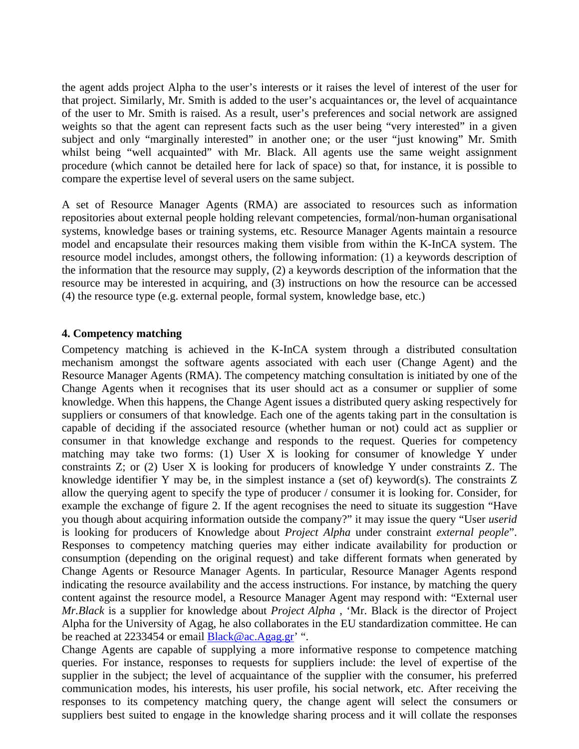the agent adds project Alpha to the user's interests or it raises the level of interest of the user for that project. Similarly, Mr. Smith is added to the user's acquaintances or, the level of acquaintance of the user to Mr. Smith is raised. As a result, user's preferences and social network are assigned weights so that the agent can represent facts such as the user being "very interested" in a given subject and only "marginally interested" in another one; or the user "just knowing" Mr. Smith whilst being "well acquainted" with Mr. Black. All agents use the same weight assignment procedure (which cannot be detailed here for lack of space) so that, for instance, it is possible to compare the expertise level of several users on the same subject.

A set of Resource Manager Agents (RMA) are associated to resources such as information repositories about external people holding relevant competencies, formal/non-human organisational systems, knowledge bases or training systems, etc. Resource Manager Agents maintain a resource model and encapsulate their resources making them visible from within the K-InCA system. The resource model includes, amongst others, the following information: (1) a keywords description of the information that the resource may supply, (2) a keywords description of the information that the resource may be interested in acquiring, and (3) instructions on how the resource can be accessed (4) the resource type (e.g. external people, formal system, knowledge base, etc.)

# **4. Competency matching**

Competency matching is achieved in the K-InCA system through a distributed consultation mechanism amongst the software agents associated with each user (Change Agent) and the Resource Manager Agents (RMA). The competency matching consultation is initiated by one of the Change Agents when it recognises that its user should act as a consumer or supplier of some knowledge. When this happens, the Change Agent issues a distributed query asking respectively for suppliers or consumers of that knowledge. Each one of the agents taking part in the consultation is capable of deciding if the associated resource (whether human or not) could act as supplier or consumer in that knowledge exchange and responds to the request. Queries for competency matching may take two forms: (1) User X is looking for consumer of knowledge Y under constraints Z; or (2) User X is looking for producers of knowledge Y under constraints Z. The knowledge identifier Y may be, in the simplest instance a (set of) keyword(s). The constraints Z allow the querying agent to specify the type of producer / consumer it is looking for. Consider, for example the exchange of figure 2. If the agent recognises the need to situate its suggestion "Have you though about acquiring information outside the company?" it may issue the query "User *userid* is looking for producers of Knowledge about *Project Alpha* under constraint *external people*". Responses to competency matching queries may either indicate availability for production or consumption (depending on the original request) and take different formats when generated by Change Agents or Resource Manager Agents. In particular, Resource Manager Agents respond indicating the resource availability and the access instructions. For instance, by matching the query content against the resource model, a Resource Manager Agent may respond with: "External user *Mr.Black* is a supplier for knowledge about *Project Alpha* , 'Mr. Black is the director of Project Alpha for the University of Agag, he also collaborates in the EU standardization committee. He can be reached at 2233454 or email Black@ac.Agag.gr' ".

Change Agents are capable of supplying a more informative response to competence matching queries. For instance, responses to requests for suppliers include: the level of expertise of the supplier in the subject; the level of acquaintance of the supplier with the consumer, his preferred communication modes, his interests, his user profile, his social network, etc. After receiving the responses to its competency matching query, the change agent will select the consumers or suppliers best suited to engage in the knowledge sharing process and it will collate the responses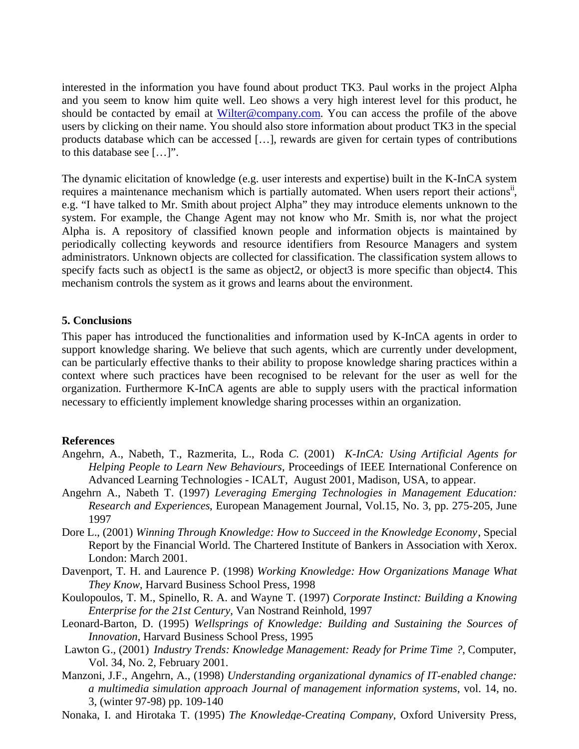interested in the information you have found about product TK3. Paul works in the project Alpha and you seem to know him quite well. Leo shows a very high interest level for this product, he should be contacted by email at Wilter@company.com. You can access the profile of the above users by clicking on their name. You should also store information about product TK3 in the special products database which can be accessed […], rewards are given for certain types of contributions to this database see […]".

The dynamic elicitation of knowledge (e.g. user interests and expertise) built in the K-InCA system requires a maintenance mechanism which is partially automated. When users report their actions<sup>ii</sup>, e.g. "I have talked to Mr. Smith about project Alpha" they may introduce elements unknown to the system. For example, the Change Agent may not know who Mr. Smith is, nor what the project Alpha is. A repository of classified known people and information objects is maintained by periodically collecting keywords and resource identifiers from Resource Managers and system administrators. Unknown objects are collected for classification. The classification system allows to specify facts such as object1 is the same as object2, or object3 is more specific than object4. This mechanism controls the system as it grows and learns about the environment.

#### **5. Conclusions**

This paper has introduced the functionalities and information used by K-InCA agents in order to support knowledge sharing. We believe that such agents, which are currently under development, can be particularly effective thanks to their ability to propose knowledge sharing practices within a context where such practices have been recognised to be relevant for the user as well for the organization. Furthermore K-InCA agents are able to supply users with the practical information necessary to efficiently implement knowledge sharing processes within an organization.

#### **References**

- Angehrn, A., Nabeth, T., Razmerita, L., Roda *C.* (2001) *K-InCA: Using Artificial Agents for Helping People to Learn New Behaviours*, Proceedings of IEEE International Conference on Advanced Learning Technologies - ICALT, August 2001, Madison, USA, to appear.
- Angehrn A., Nabeth T. (1997) *Leveraging Emerging Technologies in Management Education: Research and Experiences*, European Management Journal, Vol.15, No. 3, pp. 275-205, June 1997
- Dore L., (2001) *Winning Through Knowledge: How to Succeed in the Knowledge Economy*, Special Report by the Financial World. The Chartered Institute of Bankers in Association with Xerox. London: March 2001.
- Davenport, T. H. and Laurence P. (1998) *Working Knowledge: How Organizations Manage What They Know*, Harvard Business School Press, 1998
- Koulopoulos, T. M., Spinello, R. A. and Wayne T. (1997) *Corporate Instinct: Building a Knowing Enterprise for the 21st Century*, Van Nostrand Reinhold, 1997
- Leonard-Barton, D. (1995) *Wellsprings of Knowledge: Building and Sustaining the Sources of Innovation*, Harvard Business School Press, 1995
- Lawton G., (2001) *Industry Trends: Knowledge Management: Ready for Prime Time ?,* Computer, Vol. 34, No. 2, February 2001.
- Manzoni, J.F., Angehrn, A., (1998) *Understanding organizational dynamics of IT-enabled change: a multimedia simulation approach Journal of management information systems*, vol. 14, no. 3, (winter 97-98) pp. 109-140
- Nonaka, I. and Hirotaka T. (1995) *The Knowledge-Creating Company*, Oxford University Press,